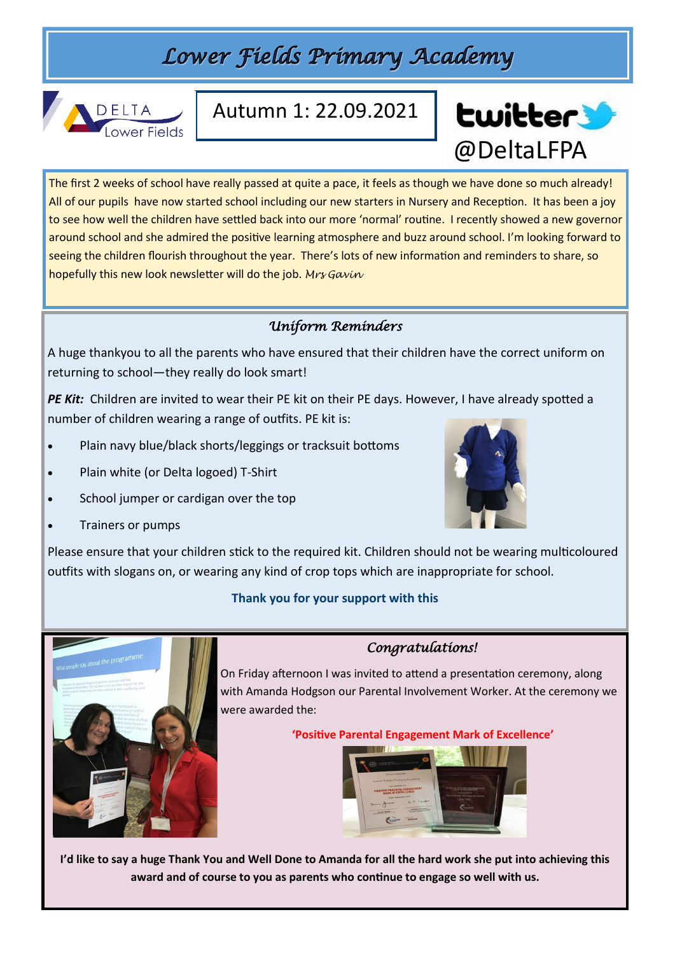## Lower Fields Primary Academy



### Autumn 1: 22.09.2021



The first 2 weeks of school have really passed at quite a pace, it feels as though we have done so much already! All of our pupils have now started school including our new starters in Nursery and Reception. It has been a joy to see how well the children have settled back into our more 'normal' routine. I recently showed a new governor around school and she admired the positive learning atmosphere and buzz around school. I'm looking forward to seeing the children flourish throughout the year. There's lots of new information and reminders to share, so hopefully this new look newsletter will do the job. *Mrs Gavin*

#### *Uniform Reminders*

A huge thankyou to all the parents who have ensured that their children have the correct uniform on returning to school—they really do look smart!

PE Kit: Children are invited to wear their PE kit on their PE days. However, I have already spotted a number of children wearing a range of outfits. PE kit is:

- Plain navy blue/black shorts/leggings or tracksuit bottoms
- Plain white (or Delta logoed) T-Shirt
- School jumper or cardigan over the top
- Trainers or pumps



Please ensure that your children stick to the required kit. Children should not be wearing multicoloured outfits with slogans on, or wearing any kind of crop tops which are inappropriate for school.

#### **Thank you for your support with this**



#### *Congratulations!*

On Friday afternoon I was invited to attend a presentation ceremony, along with Amanda Hodgson our Parental Involvement Worker. At the ceremony we were awarded the:

#### **'Positive Parental Engagement Mark of Excellence'**



**I'd like to say a huge Thank You and Well Done to Amanda for all the hard work she put into achieving this award and of course to you as parents who continue to engage so well with us.**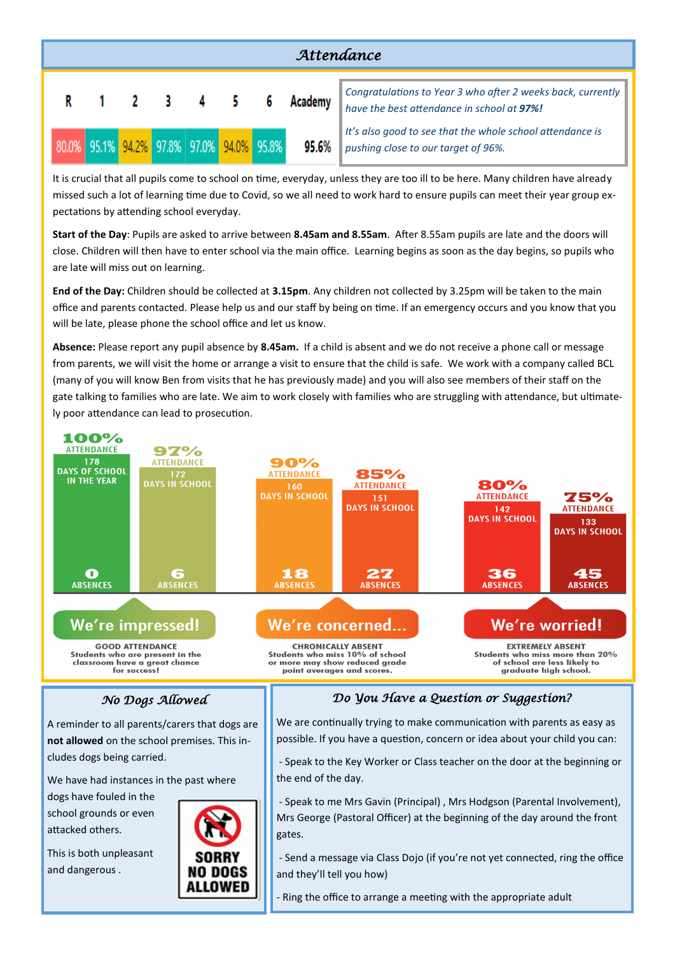

It is crucial that all pupils come to school on time, everyday, unless they are too ill to be here. Many children have already missed such a lot of learning time due to Covid, so we all need to work hard to ensure pupils can meet their year group expectations by attending school everyday.

**Start of the Day**: Pupils are asked to arrive between **8.45am and 8.55am**. After 8.55am pupils are late and the doors will close. Children will then have to enter school via the main office. Learning begins as soon as the day begins, so pupils who are late will miss out on learning.

**End of the Day:** Children should be collected at **3.15pm**. Any children not collected by 3.25pm will be taken to the main office and parents contacted. Please help us and our staff by being on time. If an emergency occurs and you know that you will be late, please phone the school office and let us know.

**Absence:** Please report any pupil absence by **8.45am.** If a child is absent and we do not receive a phone call or message from parents, we will visit the home or arrange a visit to ensure that the child is safe. We work with a company called BCL (many of you will know Ben from visits that he has previously made) and you will also see members of their staff on the gate talking to families who are late. We aim to work closely with families who are struggling with attendance, but ultimately poor attendance can lead to prosecution.